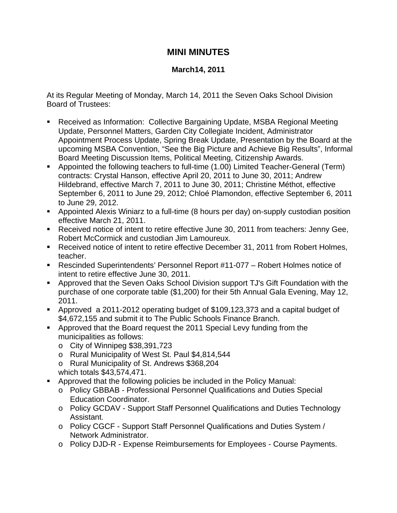## **MINI MINUTES**

## **March14, 2011**

At its Regular Meeting of Monday, March 14, 2011 the Seven Oaks School Division Board of Trustees:

- Received as Information: Collective Bargaining Update, MSBA Regional Meeting Update, Personnel Matters, Garden City Collegiate Incident, Administrator Appointment Process Update, Spring Break Update, Presentation by the Board at the upcoming MSBA Convention, "See the Big Picture and Achieve Big Results", Informal Board Meeting Discussion Items, Political Meeting, Citizenship Awards.
- Appointed the following teachers to full-time (1.00) Limited Teacher-General (Term) contracts: Crystal Hanson, effective April 20, 2011 to June 30, 2011; Andrew Hildebrand, effective March 7, 2011 to June 30, 2011; Christine Méthot, effective September 6, 2011 to June 29, 2012; Chloé Plamondon, effective September 6, 2011 to June 29, 2012.
- Appointed Alexis Winiarz to a full-time (8 hours per day) on-supply custodian position effective March 21, 2011.
- Received notice of intent to retire effective June 30, 2011 from teachers: Jenny Gee, Robert McCormick and custodian Jim Lamoureux.
- Received notice of intent to retire effective December 31, 2011 from Robert Holmes, teacher.
- Rescinded Superintendents' Personnel Report #11-077 Robert Holmes notice of intent to retire effective June 30, 2011.
- Approved that the Seven Oaks School Division support TJ's Gift Foundation with the purchase of one corporate table (\$1,200) for their 5th Annual Gala Evening, May 12, 2011.
- Approved a 2011-2012 operating budget of \$109,123,373 and a capital budget of \$4,672,155 and submit it to The Public Schools Finance Branch.
- Approved that the Board request the 2011 Special Levy funding from the municipalities as follows:
	- o City of Winnipeg \$38,391,723
	- o Rural Municipality of West St. Paul \$4,814,544
	- o Rural Municipality of St. Andrews \$368,204
	- which totals \$43,574,471.
- Approved that the following policies be included in the Policy Manual:
	- o Policy GBBAB Professional Personnel Qualifications and Duties Special Education Coordinator.
	- o Policy GCDAV Support Staff Personnel Qualifications and Duties Technology Assistant.
	- o Policy CGCF Support Staff Personnel Qualifications and Duties System / Network Administrator.
	- o Policy DJD-R Expense Reimbursements for Employees Course Payments.